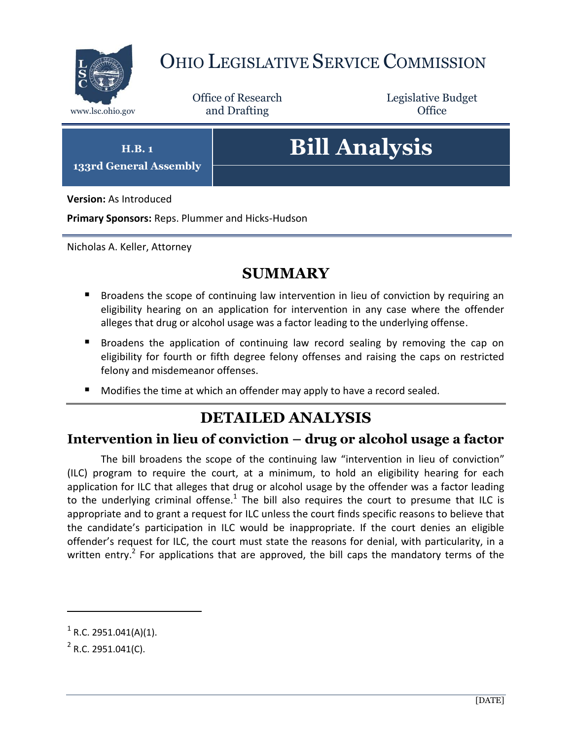

## OHIO LEGISLATIVE SERVICE COMMISSION

Office of Research www.lsc.ohio.gov and Drafting Control Control of Control Control Office

Legislative Budget

**H.B. 1**

**133rd General Assembly**

# **Bill Analysis**

**Version:** As Introduced

**Primary Sponsors:** Reps. Plummer and Hicks-Hudson

Nicholas A. Keller, Attorney

### **SUMMARY**

- Broadens the scope of continuing law intervention in lieu of conviction by requiring an eligibility hearing on an application for intervention in any case where the offender alleges that drug or alcohol usage was a factor leading to the underlying offense.
- **Broadens the application of continuing law record sealing by removing the cap on** eligibility for fourth or fifth degree felony offenses and raising the caps on restricted felony and misdemeanor offenses.
- Modifies the time at which an offender may apply to have a record sealed.

### **DETAILED ANALYSIS**

#### **Intervention in lieu of conviction – drug or alcohol usage a factor**

The bill broadens the scope of the continuing law "intervention in lieu of conviction" (ILC) program to require the court, at a minimum, to hold an eligibility hearing for each application for ILC that alleges that drug or alcohol usage by the offender was a factor leading to the underlying criminal offense.<sup>1</sup> The bill also requires the court to presume that ILC is appropriate and to grant a request for ILC unless the court finds specific reasons to believe that the candidate's participation in ILC would be inappropriate. If the court denies an eligible offender's request for ILC, the court must state the reasons for denial, with particularity, in a written entry.<sup>2</sup> For applications that are approved, the bill caps the mandatory terms of the

 $\overline{a}$ 

 $1$  R.C. 2951.041(A)(1).

 $2$  R.C. 2951.041(C).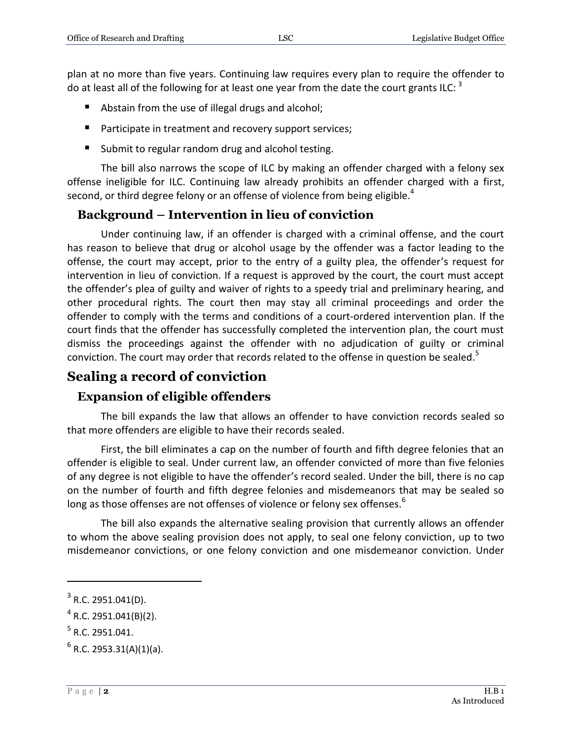plan at no more than five years. Continuing law requires every plan to require the offender to do at least all of the following for at least one year from the date the court grants ILC: <sup>3</sup>

- Abstain from the use of illegal drugs and alcohol;
- **Participate in treatment and recovery support services;**
- Submit to regular random drug and alcohol testing.

The bill also narrows the scope of ILC by making an offender charged with a felony sex offense ineligible for ILC. Continuing law already prohibits an offender charged with a first, second, or third degree felony or an offense of violence from being eligible. $^{\text{4}}$ 

#### **Background – Intervention in lieu of conviction**

Under continuing law, if an offender is charged with a criminal offense, and the court has reason to believe that drug or alcohol usage by the offender was a factor leading to the offense, the court may accept, prior to the entry of a guilty plea, the offender's request for intervention in lieu of conviction. If a request is approved by the court, the court must accept the offender's plea of guilty and waiver of rights to a speedy trial and preliminary hearing, and other procedural rights. The court then may stay all criminal proceedings and order the offender to comply with the terms and conditions of a court-ordered intervention plan. If the court finds that the offender has successfully completed the intervention plan, the court must dismiss the proceedings against the offender with no adjudication of guilty or criminal conviction. The court may order that records related to the offense in question be sealed.<sup>5</sup>

#### **Sealing a record of conviction**

#### **Expansion of eligible offenders**

The bill expands the law that allows an offender to have conviction records sealed so that more offenders are eligible to have their records sealed.

First, the bill eliminates a cap on the number of fourth and fifth degree felonies that an offender is eligible to seal. Under current law, an offender convicted of more than five felonies of any degree is not eligible to have the offender's record sealed. Under the bill, there is no cap on the number of fourth and fifth degree felonies and misdemeanors that may be sealed so long as those offenses are not offenses of violence or felony sex offenses.<sup>6</sup>

The bill also expands the alternative sealing provision that currently allows an offender to whom the above sealing provision does not apply, to seal one felony conviction, up to two misdemeanor convictions, or one felony conviction and one misdemeanor conviction. Under

 $\overline{a}$ 

 $3$  R.C. 2951.041(D).

 $^4$  R.C. 2951.041(B)(2).

 $<sup>5</sup>$  R.C. 2951.041.</sup>

 $^6$  R.C. 2953.31(A)(1)(a).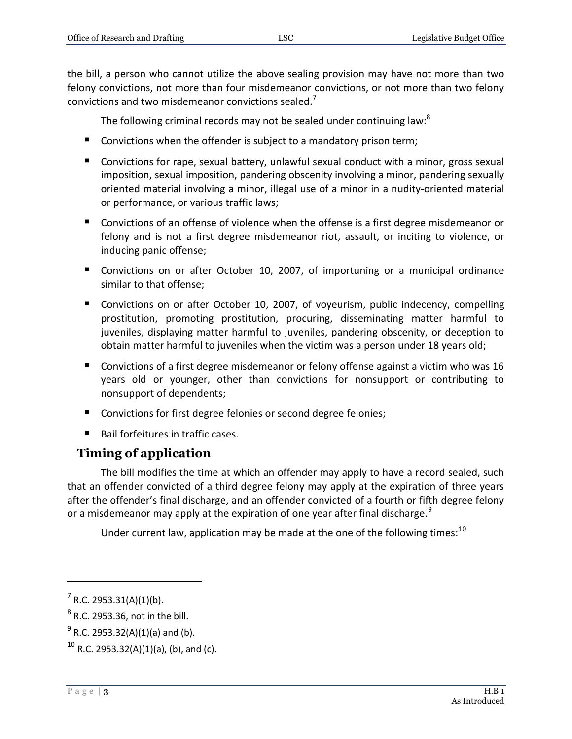the bill, a person who cannot utilize the above sealing provision may have not more than two felony convictions, not more than four misdemeanor convictions, or not more than two felony convictions and two misdemeanor convictions sealed.<sup>7</sup>

The following criminal records may not be sealed under continuing law:<sup>8</sup>

- Convictions when the offender is subject to a mandatory prison term;
- Convictions for rape, sexual battery, unlawful sexual conduct with a minor, gross sexual imposition, sexual imposition, pandering obscenity involving a minor, pandering sexually oriented material involving a minor, illegal use of a minor in a nudity-oriented material or performance, or various traffic laws;
- Convictions of an offense of violence when the offense is a first degree misdemeanor or felony and is not a first degree misdemeanor riot, assault, or inciting to violence, or inducing panic offense;
- **Convictions on or after October 10, 2007, of importuning or a municipal ordinance** similar to that offense;
- Convictions on or after October 10, 2007, of voyeurism, public indecency, compelling prostitution, promoting prostitution, procuring, disseminating matter harmful to juveniles, displaying matter harmful to juveniles, pandering obscenity, or deception to obtain matter harmful to juveniles when the victim was a person under 18 years old;
- Convictions of a first degree misdemeanor or felony offense against a victim who was 16 years old or younger, other than convictions for nonsupport or contributing to nonsupport of dependents;
- Convictions for first degree felonies or second degree felonies;
- $\blacksquare$  Bail forfeitures in traffic cases.

#### **Timing of application**

The bill modifies the time at which an offender may apply to have a record sealed, such that an offender convicted of a third degree felony may apply at the expiration of three years after the offender's final discharge, and an offender convicted of a fourth or fifth degree felony or a misdemeanor may apply at the expiration of one year after final discharge.<sup>9</sup>

Under current law, application may be made at the one of the following times:<sup>10</sup>

 $\overline{a}$ 

 $7$  R.C. 2953.31(A)(1)(b).

 $^8$  R.C. 2953.36, not in the bill.

 $^{9}$  R.C. 2953.32(A)(1)(a) and (b).

 $10$  R.C. 2953.32(A)(1)(a), (b), and (c).